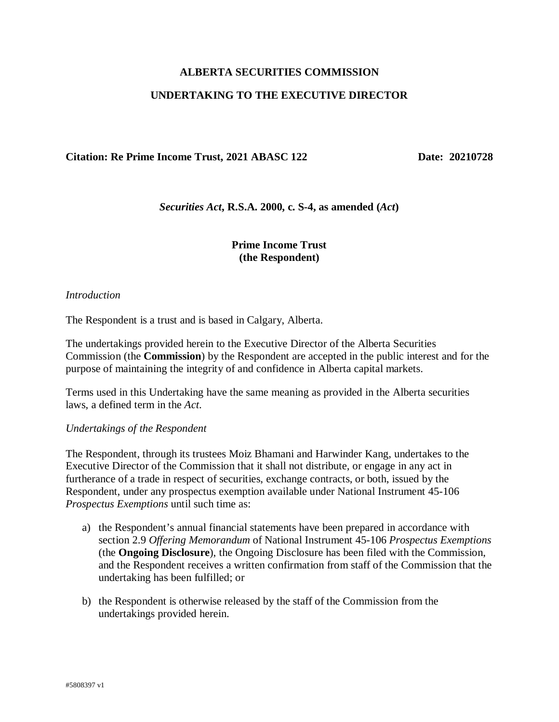# **ALBERTA SECURITIES COMMISSION**

# **UNDERTAKING TO THE EXECUTIVE DIRECTOR**

### **Citation: Re Prime Income Trust, 2021 ABASC 122 Date: 20210728**

*Securities Act***, R.S.A. 2000, c. S-4, as amended (***Act***)**

## **Prime Income Trust (the Respondent)**

#### *Introduction*

The Respondent is a trust and is based in Calgary, Alberta.

The undertakings provided herein to the Executive Director of the Alberta Securities Commission (the **Commission**) by the Respondent are accepted in the public interest and for the purpose of maintaining the integrity of and confidence in Alberta capital markets.

Terms used in this Undertaking have the same meaning as provided in the Alberta securities laws, a defined term in the *Act*.

#### *Undertakings of the Respondent*

The Respondent, through its trustees Moiz Bhamani and Harwinder Kang, undertakes to the Executive Director of the Commission that it shall not distribute, or engage in any act in furtherance of a trade in respect of securities, exchange contracts, or both, issued by the Respondent, under any prospectus exemption available under National Instrument 45-106 *Prospectus Exemptions* until such time as:

- a) the Respondent's annual financial statements have been prepared in accordance with section 2.9 *Offering Memorandum* of National Instrument 45-106 *Prospectus Exemptions* (the **Ongoing Disclosure**), the Ongoing Disclosure has been filed with the Commission, and the Respondent receives a written confirmation from staff of the Commission that the undertaking has been fulfilled; or
- b) the Respondent is otherwise released by the staff of the Commission from the undertakings provided herein.